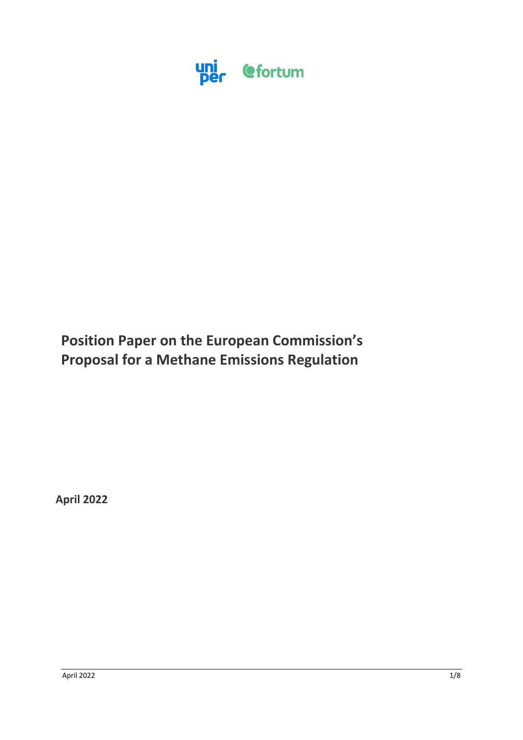

# **Position Paper on the European Commission's Proposal for a Methane Emissions Regulation**

**April 2022**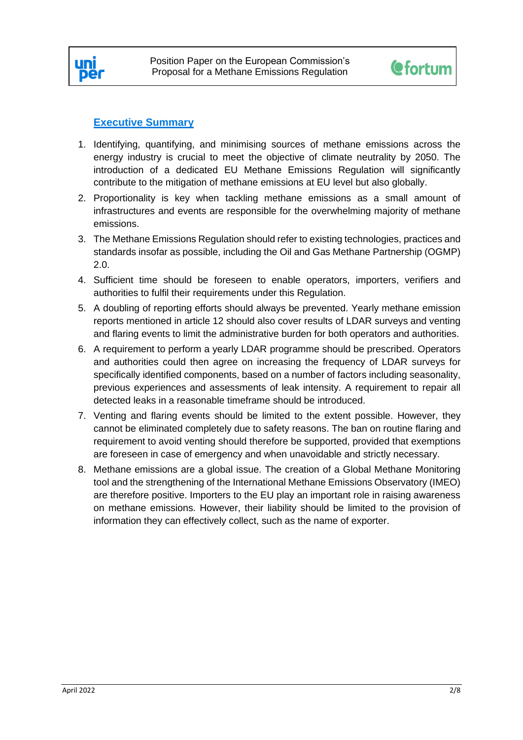



# **Executive Summary**

- 1. Identifying, quantifying, and minimising sources of methane emissions across the energy industry is crucial to meet the objective of climate neutrality by 2050. The introduction of a dedicated EU Methane Emissions Regulation will significantly contribute to the mitigation of methane emissions at EU level but also globally.
- 2. Proportionality is key when tackling methane emissions as a small amount of infrastructures and events are responsible for the overwhelming majority of methane emissions.
- 3. The Methane Emissions Regulation should refer to existing technologies, practices and standards insofar as possible, including the Oil and Gas Methane Partnership (OGMP) 2.0.
- 4. Sufficient time should be foreseen to enable operators, importers, verifiers and authorities to fulfil their requirements under this Regulation.
- 5. A doubling of reporting efforts should always be prevented. Yearly methane emission reports mentioned in article 12 should also cover results of LDAR surveys and venting and flaring events to limit the administrative burden for both operators and authorities.
- 6. A requirement to perform a yearly LDAR programme should be prescribed. Operators and authorities could then agree on increasing the frequency of LDAR surveys for specifically identified components, based on a number of factors including seasonality, previous experiences and assessments of leak intensity. A requirement to repair all detected leaks in a reasonable timeframe should be introduced.
- 7. Venting and flaring events should be limited to the extent possible. However, they cannot be eliminated completely due to safety reasons. The ban on routine flaring and requirement to avoid venting should therefore be supported, provided that exemptions are foreseen in case of emergency and when unavoidable and strictly necessary.
- 8. Methane emissions are a global issue. The creation of a Global Methane Monitoring tool and the strengthening of the International Methane Emissions Observatory (IMEO) are therefore positive. Importers to the EU play an important role in raising awareness on methane emissions. However, their liability should be limited to the provision of information they can effectively collect, such as the name of exporter.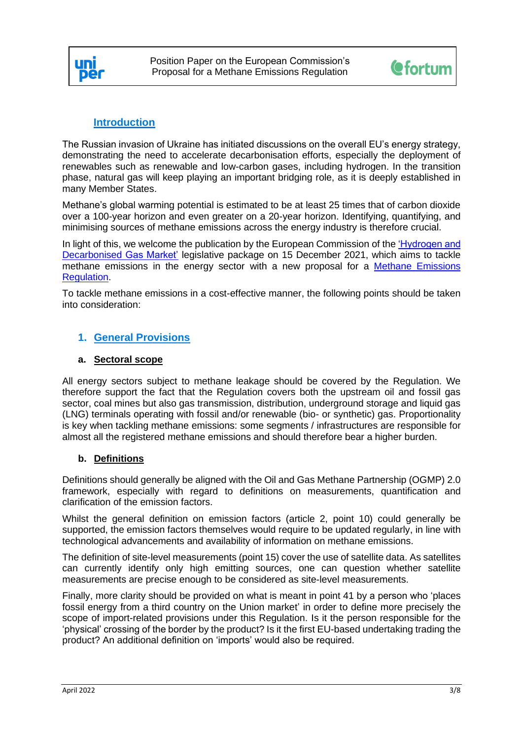



# **Introduction**

The Russian invasion of Ukraine has initiated discussions on the overall EU's energy strategy, demonstrating the need to accelerate decarbonisation efforts, especially the deployment of renewables such as renewable and low-carbon gases, including hydrogen. In the transition phase, natural gas will keep playing an important bridging role, as it is deeply established in many Member States.

Methane's global warming potential is estimated to be at least 25 times that of carbon dioxide over a 100-year horizon and even greater on a 20-year horizon. Identifying, quantifying, and minimising sources of methane emissions across the energy industry is therefore crucial.

In light of this, we welcome the publication by the European Commission of the ['Hydrogen and](https://ec.europa.eu/commission/presscorner/detail/en/ip_21_6682) [Decarbonised](https://ec.europa.eu/commission/presscorner/detail/en/ip_21_6682) Gas Market' legislative package on 15 December 2021, which aims to tackle methane emissions in the energy sector with a new proposal for a [Methane Emissions](https://eur-lex.europa.eu/legal-content/EN/TXT/?uri=COM%3A2021%3A805%3AFIN&qid=1639665806476)  [Regulation.](https://eur-lex.europa.eu/legal-content/EN/TXT/?uri=COM%3A2021%3A805%3AFIN&qid=1639665806476)

To tackle methane emissions in a cost-effective manner, the following points should be taken into consideration:

#### **1. General Provisions**

#### **a. Sectoral scope**

All energy sectors subject to methane leakage should be covered by the Regulation. We therefore support the fact that the Regulation covers both the upstream oil and fossil gas sector, coal mines but also gas transmission, distribution, underground storage and liquid gas (LNG) terminals operating with fossil and/or renewable (bio- or synthetic) gas. Proportionality is key when tackling methane emissions: some segments / infrastructures are responsible for almost all the registered methane emissions and should therefore bear a higher burden.

#### **b. Definitions**

Definitions should generally be aligned with the Oil and Gas Methane Partnership (OGMP) 2.0 framework, especially with regard to definitions on measurements, quantification and clarification of the emission factors.

Whilst the general definition on emission factors (article 2, point 10) could generally be supported, the emission factors themselves would require to be updated regularly, in line with technological advancements and availability of information on methane emissions.

The definition of site-level measurements (point 15) cover the use of satellite data. As satellites can currently identify only high emitting sources, one can question whether satellite measurements are precise enough to be considered as site-level measurements.

Finally, more clarity should be provided on what is meant in point 41 by a person who 'places fossil energy from a third country on the Union market' in order to define more precisely the scope of import-related provisions under this Regulation. Is it the person responsible for the 'physical' crossing of the border by the product? Is it the first EU-based undertaking trading the product? An additional definition on 'imports' would also be required.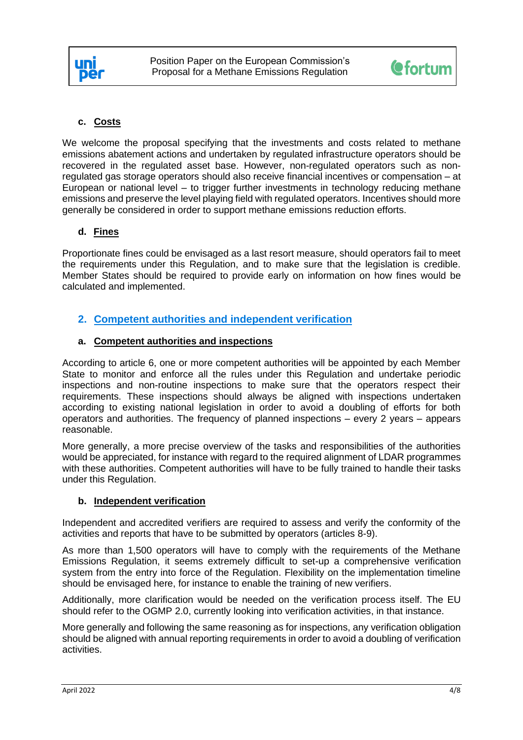

# **c. Costs**

We welcome the proposal specifying that the investments and costs related to methane emissions abatement actions and undertaken by regulated infrastructure operators should be recovered in the regulated asset base. However, non-regulated operators such as nonregulated gas storage operators should also receive financial incentives or compensation – at European or national level – to trigger further investments in technology reducing methane emissions and preserve the level playing field with regulated operators. Incentives should more generally be considered in order to support methane emissions reduction efforts.

# **d. Fines**

Proportionate fines could be envisaged as a last resort measure, should operators fail to meet the requirements under this Regulation, and to make sure that the legislation is credible. Member States should be required to provide early on information on how fines would be calculated and implemented.

# **2. Competent authorities and independent verification**

# **a. Competent authorities and inspections**

According to article 6, one or more competent authorities will be appointed by each Member State to monitor and enforce all the rules under this Regulation and undertake periodic inspections and non-routine inspections to make sure that the operators respect their requirements. These inspections should always be aligned with inspections undertaken according to existing national legislation in order to avoid a doubling of efforts for both operators and authorities. The frequency of planned inspections – every 2 years – appears reasonable.

More generally, a more precise overview of the tasks and responsibilities of the authorities would be appreciated, for instance with regard to the required alignment of LDAR programmes with these authorities. Competent authorities will have to be fully trained to handle their tasks under this Regulation.

#### **b. Independent verification**

Independent and accredited verifiers are required to assess and verify the conformity of the activities and reports that have to be submitted by operators (articles 8-9).

As more than 1,500 operators will have to comply with the requirements of the Methane Emissions Regulation, it seems extremely difficult to set-up a comprehensive verification system from the entry into force of the Regulation. Flexibility on the implementation timeline should be envisaged here, for instance to enable the training of new verifiers.

Additionally, more clarification would be needed on the verification process itself. The EU should refer to the OGMP 2.0, currently looking into verification activities, in that instance.

More generally and following the same reasoning as for inspections, any verification obligation should be aligned with annual reporting requirements in order to avoid a doubling of verification activities.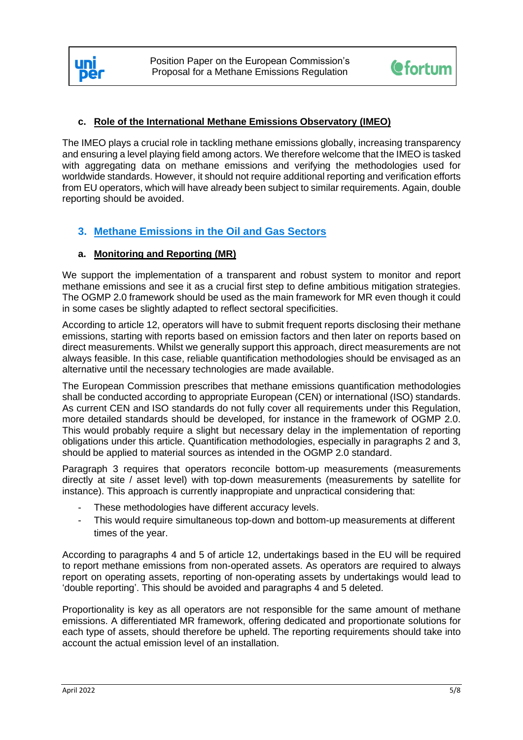



# **c. Role of the International Methane Emissions Observatory (IMEO)**

The IMEO plays a crucial role in tackling methane emissions globally, increasing transparency and ensuring a level playing field among actors. We therefore welcome that the IMEO is tasked with aggregating data on methane emissions and verifying the methodologies used for worldwide standards. However, it should not require additional reporting and verification efforts from EU operators, which will have already been subject to similar requirements. Again, double reporting should be avoided.

# **3. Methane Emissions in the Oil and Gas Sectors**

# **a. Monitoring and Reporting (MR)**

We support the implementation of a transparent and robust system to monitor and report methane emissions and see it as a crucial first step to define ambitious mitigation strategies. The OGMP 2.0 framework should be used as the main framework for MR even though it could in some cases be slightly adapted to reflect sectoral specificities.

According to article 12, operators will have to submit frequent reports disclosing their methane emissions, starting with reports based on emission factors and then later on reports based on direct measurements. Whilst we generally support this approach, direct measurements are not always feasible. In this case, reliable quantification methodologies should be envisaged as an alternative until the necessary technologies are made available.

The European Commission prescribes that methane emissions quantification methodologies shall be conducted according to appropriate European (CEN) or international (ISO) standards. As current CEN and ISO standards do not fully cover all requirements under this Regulation, more detailed standards should be developed, for instance in the framework of OGMP 2.0. This would probably require a slight but necessary delay in the implementation of reporting obligations under this article. Quantification methodologies, especially in paragraphs 2 and 3, should be applied to material sources as intended in the OGMP 2.0 standard.

Paragraph 3 requires that operators reconcile bottom-up measurements (measurements directly at site / asset level) with top-down measurements (measurements by satellite for instance). This approach is currently inappropiate and unpractical considering that:

- These methodologies have different accuracy levels.
- This would require simultaneous top-down and bottom-up measurements at different times of the year.

According to paragraphs 4 and 5 of article 12, undertakings based in the EU will be required to report methane emissions from non-operated assets. As operators are required to always report on operating assets, reporting of non-operating assets by undertakings would lead to 'double reporting'. This should be avoided and paragraphs 4 and 5 deleted.

Proportionality is key as all operators are not responsible for the same amount of methane emissions. A differentiated MR framework, offering dedicated and proportionate solutions for each type of assets, should therefore be upheld. The reporting requirements should take into account the actual emission level of an installation.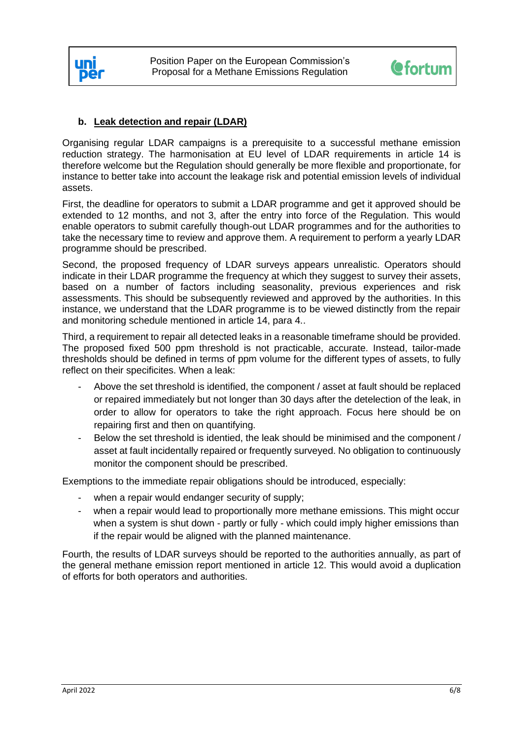



# **b. Leak detection and repair (LDAR)**

Organising regular LDAR campaigns is a prerequisite to a successful methane emission reduction strategy. The harmonisation at EU level of LDAR requirements in article 14 is therefore welcome but the Regulation should generally be more flexible and proportionate, for instance to better take into account the leakage risk and potential emission levels of individual assets.

First, the deadline for operators to submit a LDAR programme and get it approved should be extended to 12 months, and not 3, after the entry into force of the Regulation. This would enable operators to submit carefully though-out LDAR programmes and for the authorities to take the necessary time to review and approve them. A requirement to perform a yearly LDAR programme should be prescribed.

Second, the proposed frequency of LDAR surveys appears unrealistic. Operators should indicate in their LDAR programme the frequency at which they suggest to survey their assets, based on a number of factors including seasonality, previous experiences and risk assessments. This should be subsequently reviewed and approved by the authorities. In this instance, we understand that the LDAR programme is to be viewed distinctly from the repair and monitoring schedule mentioned in article 14, para 4..

Third, a requirement to repair all detected leaks in a reasonable timeframe should be provided. The proposed fixed 500 ppm threshold is not practicable, accurate. Instead, tailor-made thresholds should be defined in terms of ppm volume for the different types of assets, to fully reflect on their specificites. When a leak:

- Above the set threshold is identified, the component / asset at fault should be replaced or repaired immediately but not longer than 30 days after the detelection of the leak, in order to allow for operators to take the right approach. Focus here should be on repairing first and then on quantifying.
- Below the set threshold is identied, the leak should be minimised and the component / asset at fault incidentally repaired or frequently surveyed. No obligation to continuously monitor the component should be prescribed.

Exemptions to the immediate repair obligations should be introduced, especially:

- when a repair would endanger security of supply;
- when a repair would lead to proportionally more methane emissions. This might occur when a system is shut down - partly or fully - which could imply higher emissions than if the repair would be aligned with the planned maintenance.

Fourth, the results of LDAR surveys should be reported to the authorities annually, as part of the general methane emission report mentioned in article 12. This would avoid a duplication of efforts for both operators and authorities.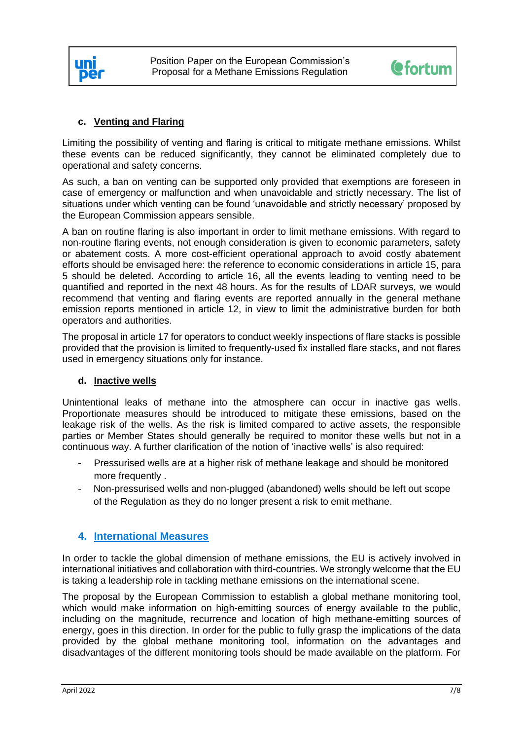



# **c. Venting and Flaring**

Limiting the possibility of venting and flaring is critical to mitigate methane emissions. Whilst these events can be reduced significantly, they cannot be eliminated completely due to operational and safety concerns.

As such, a ban on venting can be supported only provided that exemptions are foreseen in case of emergency or malfunction and when unavoidable and strictly necessary. The list of situations under which venting can be found 'unavoidable and strictly necessary' proposed by the European Commission appears sensible.

A ban on routine flaring is also important in order to limit methane emissions. With regard to non-routine flaring events, not enough consideration is given to economic parameters, safety or abatement costs. A more cost-efficient operational approach to avoid costly abatement efforts should be envisaged here: the reference to economic considerations in article 15, para 5 should be deleted. According to article 16, all the events leading to venting need to be quantified and reported in the next 48 hours. As for the results of LDAR surveys, we would recommend that venting and flaring events are reported annually in the general methane emission reports mentioned in article 12, in view to limit the administrative burden for both operators and authorities.

The proposal in article 17 for operators to conduct weekly inspections of flare stacks is possible provided that the provision is limited to frequently-used fix installed flare stacks, and not flares used in emergency situations only for instance.

#### **d. Inactive wells**

Unintentional leaks of methane into the atmosphere can occur in inactive gas wells. Proportionate measures should be introduced to mitigate these emissions, based on the leakage risk of the wells. As the risk is limited compared to active assets, the responsible parties or Member States should generally be required to monitor these wells but not in a continuous way. A further clarification of the notion of 'inactive wells' is also required:

- Pressurised wells are at a higher risk of methane leakage and should be monitored more frequently .
- Non-pressurised wells and non-plugged (abandoned) wells should be left out scope of the Regulation as they do no longer present a risk to emit methane.

# **4. International Measures**

In order to tackle the global dimension of methane emissions, the EU is actively involved in international initiatives and collaboration with third-countries. We strongly welcome that the EU is taking a leadership role in tackling methane emissions on the international scene.

The proposal by the European Commission to establish a global methane monitoring tool, which would make information on high-emitting sources of energy available to the public, including on the magnitude, recurrence and location of high methane-emitting sources of energy, goes in this direction. In order for the public to fully grasp the implications of the data provided by the global methane monitoring tool, information on the advantages and disadvantages of the different monitoring tools should be made available on the platform. For